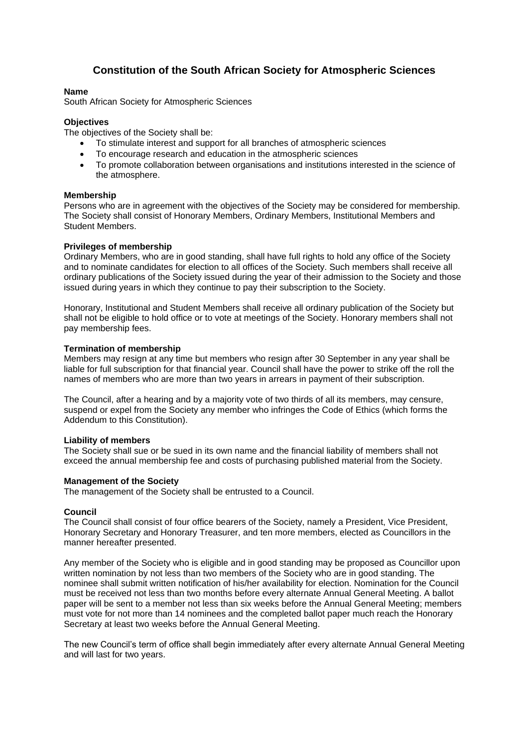# **Constitution of the South African Society for Atmospheric Sciences**

## **Name**

South African Society for Atmospheric Sciences

## **Objectives**

The objectives of the Society shall be:

- To stimulate interest and support for all branches of atmospheric sciences
- To encourage research and education in the atmospheric sciences
- To promote collaboration between organisations and institutions interested in the science of the atmosphere.

#### **Membership**

Persons who are in agreement with the objectives of the Society may be considered for membership. The Society shall consist of Honorary Members, Ordinary Members, Institutional Members and Student Members.

#### **Privileges of membership**

Ordinary Members, who are in good standing, shall have full rights to hold any office of the Society and to nominate candidates for election to all offices of the Society. Such members shall receive all ordinary publications of the Society issued during the year of their admission to the Society and those issued during years in which they continue to pay their subscription to the Society.

Honorary, Institutional and Student Members shall receive all ordinary publication of the Society but shall not be eligible to hold office or to vote at meetings of the Society. Honorary members shall not pay membership fees.

#### **Termination of membership**

Members may resign at any time but members who resign after 30 September in any year shall be liable for full subscription for that financial year. Council shall have the power to strike off the roll the names of members who are more than two years in arrears in payment of their subscription.

The Council, after a hearing and by a majority vote of two thirds of all its members, may censure, suspend or expel from the Society any member who infringes the Code of Ethics (which forms the Addendum to this Constitution).

#### **Liability of members**

The Society shall sue or be sued in its own name and the financial liability of members shall not exceed the annual membership fee and costs of purchasing published material from the Society.

#### **Management of the Society**

The management of the Society shall be entrusted to a Council.

#### **Council**

The Council shall consist of four office bearers of the Society, namely a President, Vice President, Honorary Secretary and Honorary Treasurer, and ten more members, elected as Councillors in the manner hereafter presented.

Any member of the Society who is eligible and in good standing may be proposed as Councillor upon written nomination by not less than two members of the Society who are in good standing. The nominee shall submit written notification of his/her availability for election. Nomination for the Council must be received not less than two months before every alternate Annual General Meeting. A ballot paper will be sent to a member not less than six weeks before the Annual General Meeting; members must vote for not more than 14 nominees and the completed ballot paper much reach the Honorary Secretary at least two weeks before the Annual General Meeting.

The new Council's term of office shall begin immediately after every alternate Annual General Meeting and will last for two years.